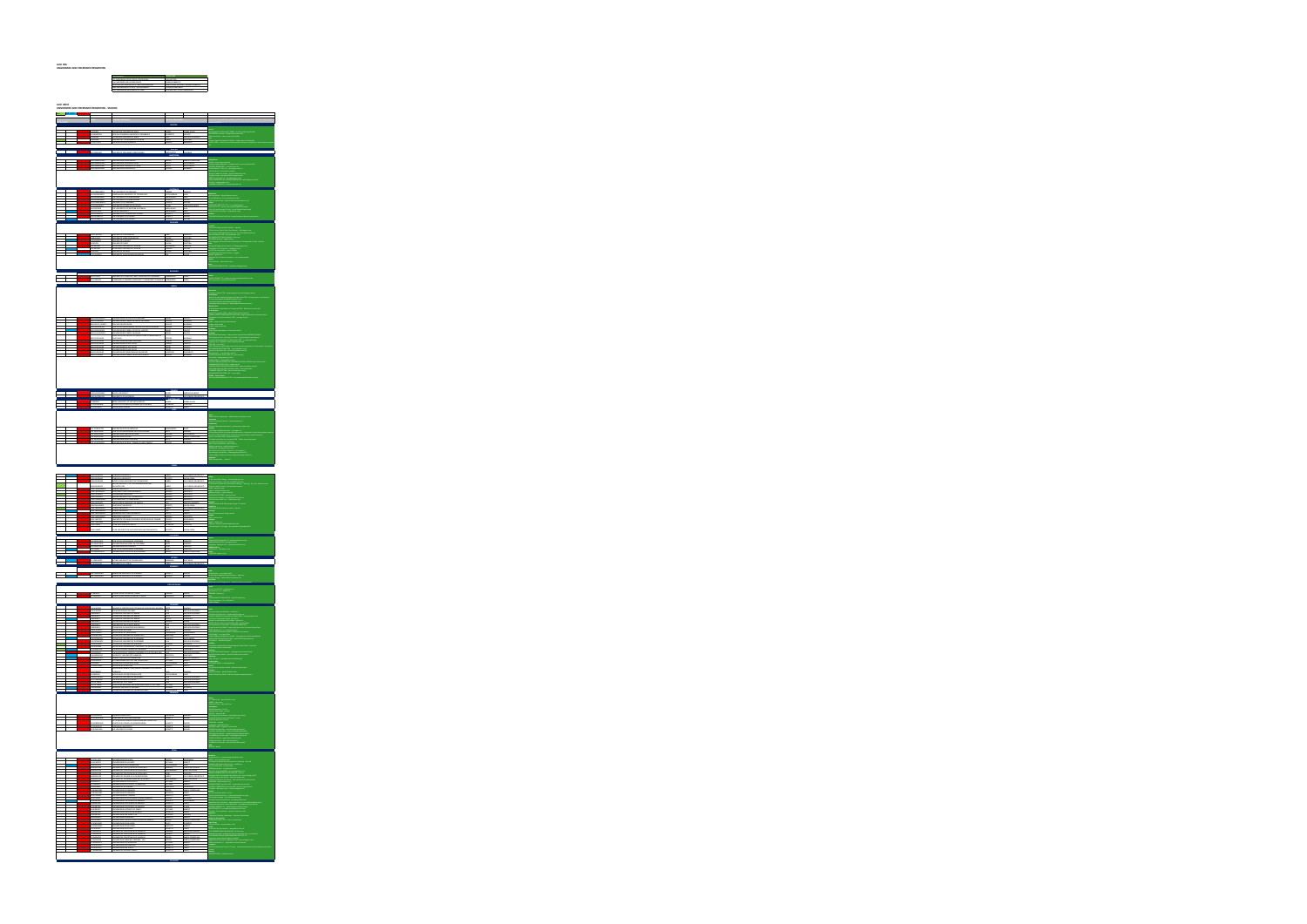**AUIC ING UNIVERISTIES AND PROFESSOR PROMOTERS**

| SATIM IDLID<br>m | <b>HARD</b>  |
|------------------|--------------|
|                  |              |
|                  |              |
|                  | <b>WACCO</b> |

|     |                      | AUIC ARCH<br>UNIVERISTIES AND PROFESSOR PROMOTERS - STUDIOS |                                                                    |                       |                                          |                                                                                                                                                                                                                                               |
|-----|----------------------|-------------------------------------------------------------|--------------------------------------------------------------------|-----------------------|------------------------------------------|-----------------------------------------------------------------------------------------------------------------------------------------------------------------------------------------------------------------------------------------------|
| 180 | т                    |                                                             |                                                                    |                       |                                          |                                                                                                                                                                                                                                               |
|     |                      |                                                             |                                                                    |                       |                                          |                                                                                                                                                                                                                                               |
|     |                      |                                                             |                                                                    |                       |                                          |                                                                                                                                                                                                                                               |
|     |                      |                                                             |                                                                    |                       |                                          |                                                                                                                                                                                                                                               |
|     |                      |                                                             |                                                                    |                       |                                          |                                                                                                                                                                                                                                               |
|     |                      |                                                             |                                                                    |                       |                                          |                                                                                                                                                                                                                                               |
|     |                      |                                                             |                                                                    |                       |                                          |                                                                                                                                                                                                                                               |
|     |                      | <b>RUS ADEALDEDS</b><br><b><i>ALS BRIGANIC</i></b>          |                                                                    |                       |                                          |                                                                                                                                                                                                                                               |
|     |                      |                                                             |                                                                    |                       |                                          |                                                                                                                                                                                                                                               |
|     |                      |                                                             |                                                                    |                       |                                          |                                                                                                                                                                                                                                               |
|     |                      |                                                             |                                                                    |                       |                                          |                                                                                                                                                                                                                                               |
|     |                      | enzosce                                                     |                                                                    |                       |                                          |                                                                                                                                                                                                                                               |
|     |                      |                                                             |                                                                    |                       |                                          | Liechlanh : deputearre)<br>gwere & Divisio Pierio en chinekere<br>& Magneti de chinekere : divergency<br>prie Danislanden : sempagnet a dej<br>ne anhitectore : jouillion comp<br>pripe reli<br>pripe reli                                    |
|     |                      |                                                             |                                                                    |                       |                                          |                                                                                                                                                                                                                                               |
|     |                      | 8330<br>83V                                                 | <b>Child</b><br>Valle                                              | COMMON<br>COMMON      | Test.                                    |                                                                                                                                                                                                                                               |
|     |                      |                                                             |                                                                    |                       |                                          |                                                                                                                                                                                                                                               |
|     |                      |                                                             |                                                                    |                       |                                          | ira Vetin legalistus & Urbarismo (1724)<br>Antona Emiledade Empire Lida -<br>Antaramake Permejaledada angustar<br>Antaramake Permejaledada angustar                                                                                           |
|     |                      |                                                             |                                                                    |                       |                                          | ia Morea<br>Salvaramo Ampilohora e Pelosajovno USA - distratore<br>Janeton<br>10 (Childi CALAS Jalija) TV-Maramo Informationa<br>10 (Childi CALAS Jalija) TV-Martin vorgenmenten<br>1811 - Projesten Urbanen USA - jarangal angles)<br>1811 - |
|     | $\sim$               |                                                             |                                                                    |                       |                                          |                                                                                                                                                                                                                                               |
|     | <u>المستوفى</u><br>Ξ |                                                             |                                                                    |                       |                                          | Carlos<br>La Rivell, draphetona - relativelli comita)<br>La Rivell, draphetona - relative comita (Shan) - (Shan)<br>da Rivell, draphetona - relativelli comita)<br>prilled - relativella - relativelli (Shan)<br>prilled - relativella - rela |
|     |                      |                                                             |                                                                    |                       |                                          |                                                                                                                                                                                                                                               |
|     |                      |                                                             |                                                                    |                       |                                          |                                                                                                                                                                                                                                               |
|     |                      |                                                             |                                                                    |                       |                                          | ETRO ARQUITETO ANNO 1998 ANNO 1998<br>Alfred Arquiteto Anno 1999 Anno 1999<br>Alfred Arquitecto, International Contractor<br>And Francisco Contractor Anno 1999<br>And Francisco Contractor Anno 1999<br>And Francisco                        |
|     |                      |                                                             |                                                                    |                       |                                          |                                                                                                                                                                                                                                               |
|     |                      |                                                             |                                                                    | secoe                 | <b>MARITRANSA</b><br><b>CAMBRA PRANE</b> |                                                                                                                                                                                                                                               |
|     |                      |                                                             |                                                                    |                       |                                          |                                                                                                                                                                                                                                               |
|     |                      |                                                             |                                                                    |                       |                                          |                                                                                                                                                                                                                                               |
|     |                      |                                                             |                                                                    |                       |                                          |                                                                                                                                                                                                                                               |
|     |                      |                                                             |                                                                    |                       |                                          |                                                                                                                                                                                                                                               |
|     |                      |                                                             |                                                                    |                       |                                          |                                                                                                                                                                                                                                               |
|     |                      |                                                             |                                                                    |                       |                                          |                                                                                                                                                                                                                                               |
|     |                      |                                                             |                                                                    |                       |                                          |                                                                                                                                                                                                                                               |
|     |                      |                                                             |                                                                    |                       |                                          |                                                                                                                                                                                                                                               |
|     |                      |                                                             |                                                                    |                       |                                          |                                                                                                                                                                                                                                               |
|     |                      |                                                             |                                                                    |                       |                                          |                                                                                                                                                                                                                                               |
|     |                      |                                                             |                                                                    |                       |                                          |                                                                                                                                                                                                                                               |
|     |                      |                                                             |                                                                    |                       |                                          |                                                                                                                                                                                                                                               |
|     |                      |                                                             |                                                                    |                       |                                          |                                                                                                                                                                                                                                               |
|     |                      |                                                             |                                                                    |                       |                                          |                                                                                                                                                                                                                                               |
|     |                      |                                                             |                                                                    |                       |                                          |                                                                                                                                                                                                                                               |
|     |                      | <b>CYUMALIOD</b>                                            |                                                                    | ANNAN R               | www                                      |                                                                                                                                                                                                                                               |
|     |                      |                                                             | Ł                                                                  | Fourn                 | $rac{1}{2}$                              |                                                                                                                                                                                                                                               |
|     |                      |                                                             |                                                                    |                       |                                          | :<br>  er AXON - abforum<br>   CI, s.r.a. - defabinacy<br> N - državnose                                                                                                                                                                      |
|     |                      | <b>EXECUTIVE CERANDEL</b>                                   | WINDOW VERMI TEORIENE V BRIT<br>CENATY VIOLE UCEN TEORIENE V PRAZE | CORAGE                | <b>MARK</b>                              |                                                                                                                                                                                                                                               |
|     |                      | <b>DANCHROS</b><br>1011202                                  | <b>MARICA ARTISTEKTA TETATETA MYSTERIA AKTAR</b><br>Oestos uso     |                       |                                          |                                                                                                                                                                                                                                               |
|     |                      |                                                             | <b>BOVERNTAT DER KUNSTE BER</b>                                    |                       |                                          |                                                                                                                                                                                                                                               |
|     |                      | D DOETMUND<br>D DOETMUND                                    |                                                                    |                       |                                          |                                                                                                                                                                                                                                               |
|     |                      |                                                             |                                                                    |                       |                                          |                                                                                                                                                                                                                                               |
|     |                      | DIMINUES                                                    | TEMPLINE WITCH HTC                                                 |                       | marr                                     | lista šviriškim - gergingslista confess<br>taks Gridi - spine architekturenformaci<br>or - Leisendpartner de/en/kontakt/                                                                                                                      |
|     |                      |                                                             | CHRISTINE UNIVERS                                                  | Aιδ                   |                                          | l Groß Anthony<br>Liste Former - Letransparten de/michann compositor<br>Barbarathan - Letransparten de/michannich/<br>Markov<br>La gioren Joshinie Compositor<br>La gioren Joshinie Compositor<br>Lister Boundare Combi                       |
|     |                      | psusper                                                     |                                                                    |                       | aceure                                   |                                                                                                                                                                                                                                               |
|     |                      |                                                             |                                                                    |                       |                                          |                                                                                                                                                                                                                                               |
|     |                      |                                                             |                                                                    |                       |                                          |                                                                                                                                                                                                                                               |
|     |                      | Execution<br>.<br>De econ                                   |                                                                    | TARTAGLIA<br>PACKETTI |                                          |                                                                                                                                                                                                                                               |
|     |                      |                                                             | ANIMONS UNIVERSITY<br>ROBERNSON'N ERRY<br>DET KONGELIGE DANS       |                       |                                          |                                                                                                                                                                                                                                               |
|     |                      |                                                             |                                                                    |                       |                                          |                                                                                                                                                                                                                                               |
|     |                      |                                                             |                                                                    | 1200<br>OSTA          |                                          |                                                                                                                                                                                                                                               |
|     | e e                  |                                                             |                                                                    |                       |                                          |                                                                                                                                                                                                                                               |
|     | ÷,<br>÷,             | <b>EMACROS</b><br>EMACROS<br>EMACROS                        |                                                                    |                       |                                          |                                                                                                                                                                                                                                               |
|     | $\sim$               |                                                             |                                                                    |                       |                                          |                                                                                                                                                                                                                                               |
|     |                      | 1146-744                                                    |                                                                    | min                   | ABS                                      |                                                                                                                                                                                                                                               |
|     |                      | 110101000<br>110101000<br>110101017<br>11009018<br>138.000  |                                                                    | mer                   | ABC                                      |                                                                                                                                                                                                                                               |
|     |                      | <b>ALASKO</b><br>EMANDIARE<br>EMANUEL<br><b>SIVILLAD</b>    |                                                                    | $-0.015$              | MAS                                      |                                                                                                                                                                                                                                               |
|     | Ξ<br>Ξ               |                                                             |                                                                    |                       |                                          |                                                                                                                                                                                                                                               |

**ECUADOR**